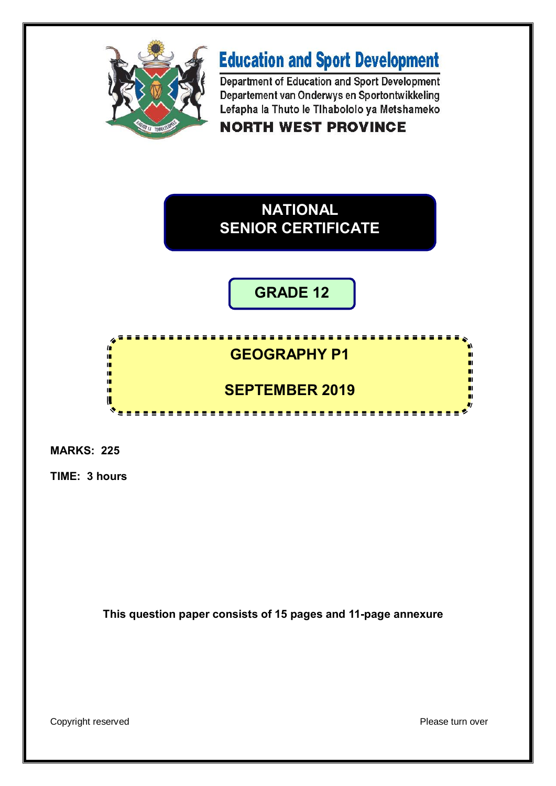

# **Education and Sport Development**

Department of Education and Sport Development Departement van Onderwys en Sportontwikkeling Lefapha la Thuto le Tihabololo ya Metshameko

**NORTH WEST PROVINCE** 

## **NATIONAL SENIOR CERTIFICATE**

**GRADE 12**

#### **GEOGRAPHY P1** ı. ı. ú **SEPTEMBER 2019**ι ............................

**MARKS: 225**

n

ıĒ. ır

**TIME: 3 hours**

**This question paper consists of 15 pages and 11-page annexure**

Copyright reserved **Please** turn over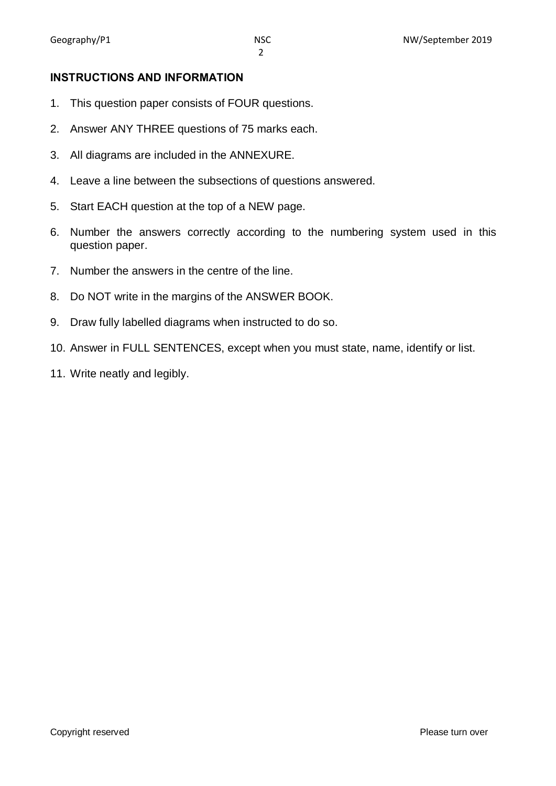#### **INSTRUCTIONS AND INFORMATION**

- 1. This question paper consists of FOUR questions.
- 2. Answer ANY THREE questions of 75 marks each.
- 3. All diagrams are included in the ANNEXURE.
- 4. Leave a line between the subsections of questions answered.
- 5. Start EACH question at the top of a NEW page.
- 6. Number the answers correctly according to the numbering system used in this question paper.
- 7. Number the answers in the centre of the line.
- 8. Do NOT write in the margins of the ANSWER BOOK.
- 9. Draw fully labelled diagrams when instructed to do so.
- 10. Answer in FULL SENTENCES, except when you must state, name, identify or list.
- 11. Write neatly and legibly.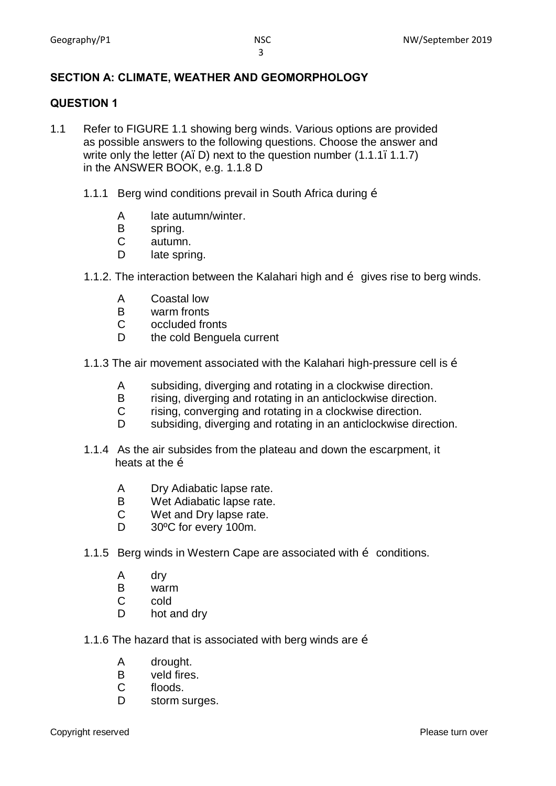### **SECTION A: CLIMATE, WEATHER AND GEOMORPHOLOGY**

#### **QUESTION 1**

- 1.1 Refer to FIGURE 1.1 showing berg winds. Various options are provided as possible answers to the following questions. Choose the answer and write only the letter  $(A, D)$  next to the question number  $(1.1.1, 1.1.7)$ in the ANSWER BOOK, e.g. 1.1.8 D
	- 1.1.1 Berg wind conditions prevail in South Africa during  $\ddot{\text{o}}$ 
		- A late autumn/winter.
		- B spring.
		- C autumn.
		- D late spring.
	- 1.1.2. The interaction between the Kalahari high and  $\tilde{\sigma}$  gives rise to berg winds.
		- A Coastal low
		- B warm fronts<br>C occluded fro
		- occluded fronts
		- D the cold Benguela current
	- 1.1.3 The air movement associated with the Kalahari high-pressure cell is  $\ddot{\text{o}}$ 
		- A subsiding, diverging and rotating in a clockwise direction.
		- B rising, diverging and rotating in an anticlockwise direction.
		- C rising, converging and rotating in a clockwise direction.<br>D subsiding diverging and rotating in an anticlockwise direct
		- subsiding, diverging and rotating in an anticlockwise direction.
	- 1.1.4 As the air subsides from the plateau and down the escarpment, it heats at the  $\ddot{\text{o}}$ 
		- A Dry Adiabatic lapse rate.
		- B Wet Adiabatic lapse rate.
		- C Wet and Dry lapse rate.
		- D 30°C for every 100m.
	- 1.1.5 Berg winds in Western Cape are associated with  $\tilde{o}$  conditions.
		- A dry
		- B warm
		- C cold
		- D hot and dry
	- 1.1.6 The hazard that is associated with berg winds are  $\ddot{\text{o}}$ 
		- A drought.
		- B veld fires.
		- C floods.
		- D storm surges.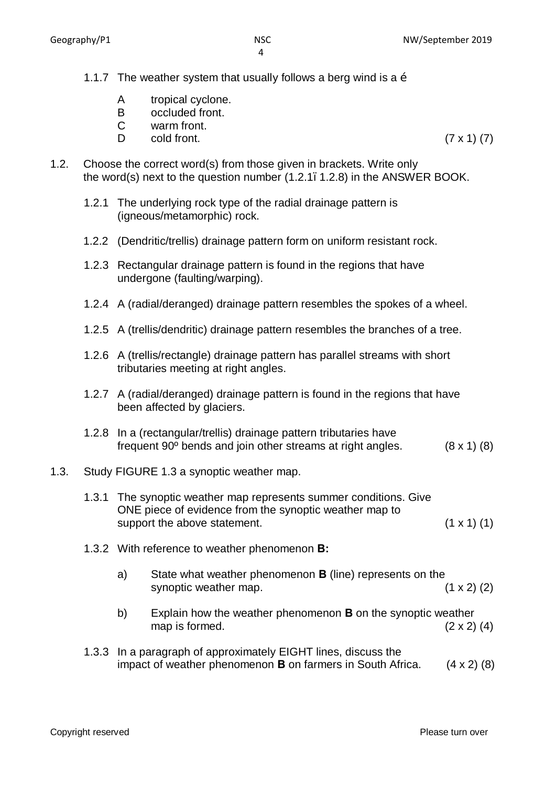- 1.1.7 The weather system that usually follows a berg wind is a  $\ddot{\text{o}}$ 
	- A tropical cyclone.
	- B occluded front.
	- C warm front.
	- $D$  cold front. (7 x 1) (7)
- 1.2. Choose the correct word(s) from those given in brackets. Write only the word(s) next to the question number (1.2.1–1.2.8) in the ANSWER BOOK.
	- 1.2.1 The underlying rock type of the radial drainage pattern is (igneous/metamorphic) rock.
	- 1.2.2 (Dendritic/trellis) drainage pattern form on uniform resistant rock.
	- 1.2.3 Rectangular drainage pattern is found in the regions that have undergone (faulting/warping).
	- 1.2.4 A (radial/deranged) drainage pattern resembles the spokes of a wheel.
	- 1.2.5 A (trellis/dendritic) drainage pattern resembles the branches of a tree.
	- 1.2.6 A (trellis/rectangle) drainage pattern has parallel streams with short tributaries meeting at right angles.
	- 1.2.7 A (radial/deranged) drainage pattern is found in the regions that have been affected by glaciers.
	- 1.2.8 In a (rectangular/trellis) drainage pattern tributaries have frequent  $90^{\circ}$  bends and join other streams at right angles. (8 x 1) (8)

#### 1.3. Study FIGURE 1.3 a synoptic weather map.

|  | 1.3.1 The synoptic weather map represents summer conditions. Give<br>ONE piece of evidence from the synoptic weather map to<br>support the above statement. |                                                                                                                              | $(1 \times 1)$ (1) |
|--|-------------------------------------------------------------------------------------------------------------------------------------------------------------|------------------------------------------------------------------------------------------------------------------------------|--------------------|
|  |                                                                                                                                                             | 1.3.2 With reference to weather phenomenon <b>B</b> :                                                                        |                    |
|  | a)                                                                                                                                                          | State what weather phenomenon <b>B</b> (line) represents on the<br>synoptic weather map.                                     | $(1 \times 2)$ (2) |
|  | b)                                                                                                                                                          | Explain how the weather phenomenon <b>B</b> on the synoptic weather<br>map is formed.                                        | $(2 \times 2)$ (4) |
|  |                                                                                                                                                             | 1.3.3 In a paragraph of approximately EIGHT lines, discuss the<br>impact of weather phenomenon B on farmers in South Africa. | (4 x 2) (8)        |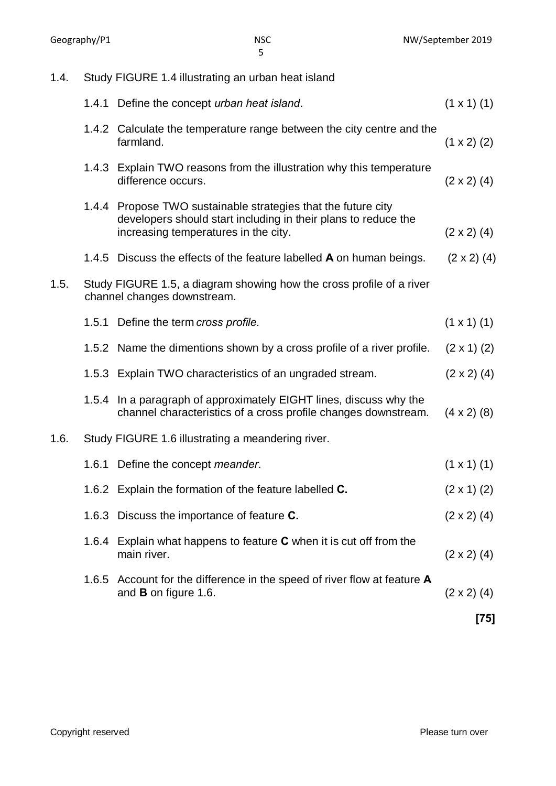1.4. Study FIGURE 1.4 illustrating an urban heat island 1.4.1 Define the concept *urban heat island*. (1 x 1) (1) 1.4.2 Calculate the temperature range between the city centre and the farmland.  $(1 \times 2)$  (2) 1.4.3 Explain TWO reasons from the illustration why this temperature difference occurs.  $(2 \times 2)$  (4) 1.4.4 Propose TWO sustainable strategies that the future city developers should start including in their plans to reduce the increasing temperatures in the city.  $(2 \times 2)$  (4) 1.4.5 Discuss the effects of the feature labelled **A** on human beings. (2 x 2) (4) 1.5. Study FIGURE 1.5, a diagram showing how the cross profile of a river channel changes downstream. 1.5.1 Define the term *cross profile*. (1 x 1) (1) 1.5.2 Name the dimentions shown by a cross profile of a river profile.  $(2 \times 1)$  (2) 1.5.3 Explain TWO characteristics of an ungraded stream. (2 x 2) (4) 1.5.4 In a paragraph of approximately EIGHT lines, discuss why the channel characteristics of a cross profile changes downstream. (4 x 2) (8) 1.6. Study FIGURE 1.6 illustrating a meandering river. 1.6.1 Define the concept *meander*. (1 x 1) (1) 1.6.2 Explain the formation of the feature labelled **C.** (2 x 1) (2) 1.6.3 Discuss the importance of feature **C.** (2 x 2) (4) 1.6.4 Explain what happens to feature **C** when it is cut off from the main river.  $(2 \times 2)$  (4) 1.6.5 Account for the difference in the speed of river flow at feature **A**  and **B** on figure 1.6. (2 x 2) (4) **[75]**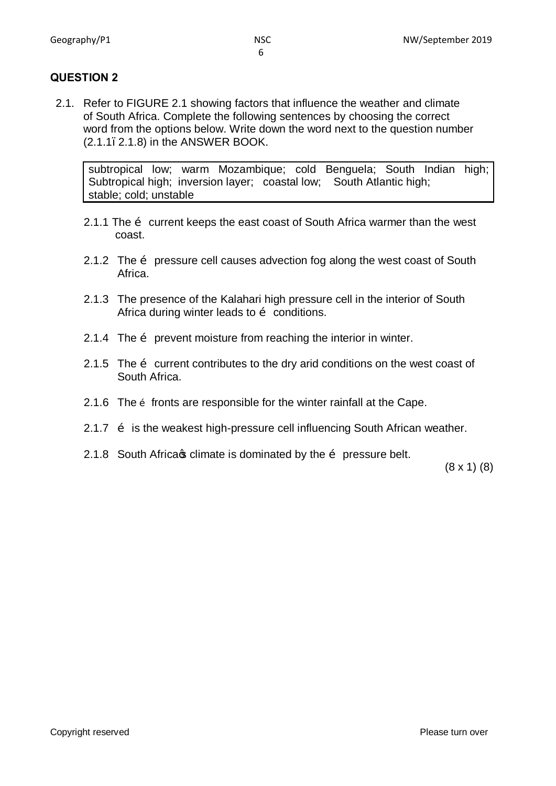#### **QUESTION 2**

2.1. Refer to FIGURE 2.1 showing factors that influence the weather and climate of South Africa. Complete the following sentences by choosing the correct word from the options below. Write down the word next to the question number (2.1.1–2.1.8) in the ANSWER BOOK.

subtropical low; warm Mozambique; cold Benguela; South Indian high; Subtropical high; inversion layer; coastal low; South Atlantic high; stable; cold; unstable

- 2.1.1 The  $\ddot{\text{o}}$  current keeps the east coast of South Africa warmer than the west coast.
- 2.1.2 The  $\ddot{\text{o}}$  pressure cell causes advection fog along the west coast of South Africa.
- 2.1.3 The presence of the Kalahari high pressure cell in the interior of South Africa during winter leads to  $\ddot{\text{o}}$  conditions.
- 2.1.4 The  $\ddot{\text{o}}$  prevent moisture from reaching the interior in winter.
- 2.1.5 The  $\ddot{\text{o}}$  current contributes to the dry arid conditions on the west coast of South Africa.
- 2.1.6 The  $\delta$  fronts are responsible for the winter rainfall at the Cape.
- 2.1.7  $\ddot{\text{o}}$  is the weakest high-pressure cell influencing South African weather.
- 2.1.8 South Africas climate is dominated by the  $\ddot{\text{o}}$  pressure belt.

(8 x 1) (8)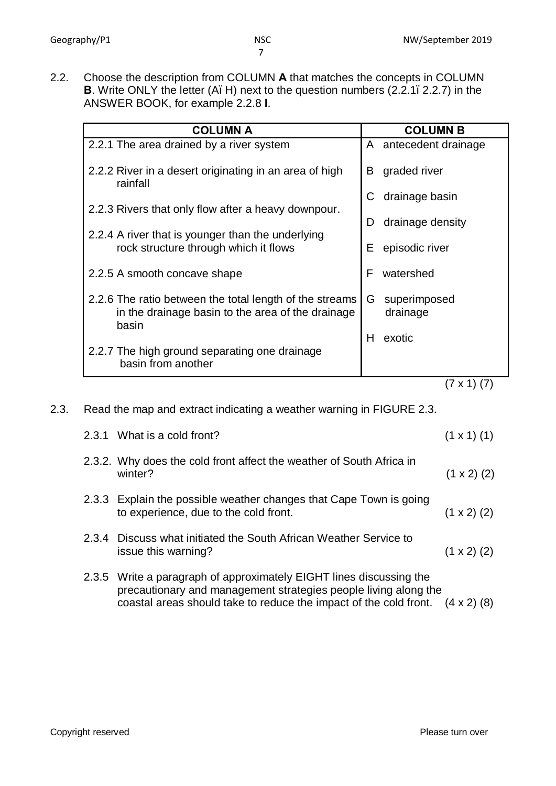2.2. Choose the description from COLUMN **A** that matches the concepts in COLUMN **B**. Write ONLY the letter (A. H) next to the question numbers (2.2.1, 2.2.7) in the ANSWER BOOK, for example 2.2.8 **I**.

| <b>COLUMN A</b>                                                                                                       | <b>COLUMN B</b>               |
|-----------------------------------------------------------------------------------------------------------------------|-------------------------------|
| 2.2.1 The area drained by a river system                                                                              | A antecedent drainage         |
| 2.2.2 River in a desert originating in an area of high<br>rainfall                                                    | B<br>graded river             |
|                                                                                                                       | drainage basin<br>C           |
| 2.2.3 Rivers that only flow after a heavy downpour.                                                                   | drainage density<br>D         |
| 2.2.4 A river that is younger than the underlying<br>rock structure through which it flows                            | Е<br>episodic river           |
| 2.2.5 A smooth concave shape                                                                                          | F<br>watershed                |
| 2.2.6 The ratio between the total length of the streams<br>in the drainage basin to the area of the drainage<br>basin | G<br>superimposed<br>drainage |
| 2.2.7 The high ground separating one drainage<br>basin from another                                                   | Н<br>exotic                   |

$$
(7 \times 1) (7)
$$

2.3. Read the map and extract indicating a weather warning in FIGURE 2.3.

|  | 2.3.1 What is a cold front?                                                                                                                                                                                 | $(1 \times 1)$ (1) |
|--|-------------------------------------------------------------------------------------------------------------------------------------------------------------------------------------------------------------|--------------------|
|  | 2.3.2. Why does the cold front affect the weather of South Africa in<br>winter?                                                                                                                             | $(1 \times 2)$ (2) |
|  | 2.3.3 Explain the possible weather changes that Cape Town is going<br>to experience, due to the cold front.                                                                                                 | $(1 \times 2)$ (2) |
|  | 2.3.4 Discuss what initiated the South African Weather Service to<br>issue this warning?                                                                                                                    | $(1 \times 2)$ (2) |
|  | 2.3.5 Write a paragraph of approximately EIGHT lines discussing the<br>precautionary and management strategies people living along the<br>coastal areas should take to reduce the impact of the cold front. | $(4 \times 2)$ (8) |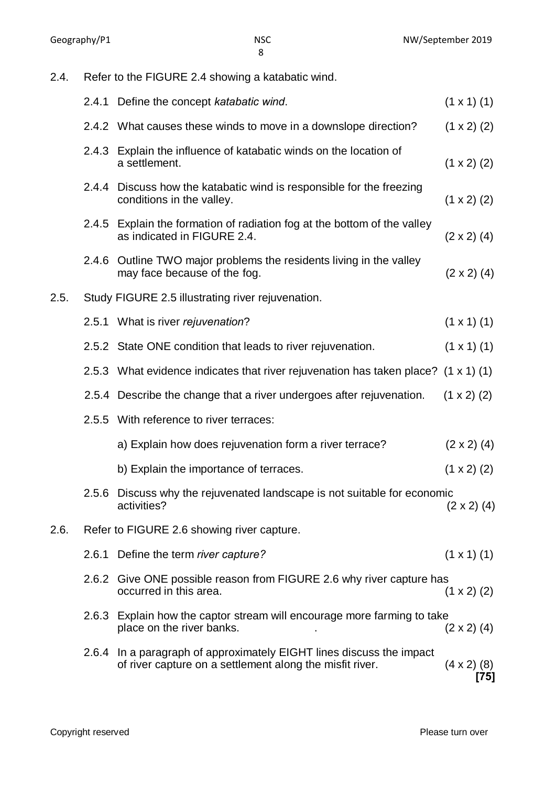2.4. Refer to the FIGURE 2.4 showing a katabatic wind. 2.4.1 Define the concept *katabatic wind*. (1 x 1) (1) 2.4.2 What causes these winds to move in a downslope direction?  $(1 \times 2)$  (2) 2.4.3 Explain the influence of katabatic winds on the location of a settlement.  $(1 \times 2)$   $(2)$ 2.4.4 Discuss how the katabatic wind is responsible for the freezing conditions in the valley.  $(1 \times 2)$  (2) 2.4.5 Explain the formation of radiation fog at the bottom of the valley as indicated in FIGURE 2.4.  $(2 \times 2)$  (4) 2.4.6 Outline TWO major problems the residents living in the valley may face because of the fog.  $(2 \times 2)$  (4) 2.5. Study FIGURE 2.5 illustrating river rejuvenation. 2.5.1 What is river *rejuvenation*? (1 x 1) (1) 2.5.2 State ONE condition that leads to river rejuvenation.  $(1 \times 1)$  (1) 2.5.3 What evidence indicates that river rejuvenation has taken place? (1 x 1) (1) 2.5.4 Describe the change that a river undergoes after rejuvenation.  $(1 \times 2)$  (2) 2.5.5 With reference to river terraces: a) Explain how does rejuvenation form a river terrace?  $(2 \times 2)$  (4) b) Explain the importance of terraces.  $(1 \times 2)$  (2) 2.5.6 Discuss why the rejuvenated landscape is not suitable for economic<br>2)  $(2 \times 2)$  (4) 2.6. Refer to FIGURE 2.6 showing river capture. 2.6.1 Define the term *river capture?* (1 x 1) (1) 2.6.2 Give ONE possible reason from FIGURE 2.6 why river capture has  $occurred in this area.$  (1 x 2) (2) 2.6.3 Explain how the captor stream will encourage more farming to take place on the river banks.  $(2 \times 2)$  (4) 2.6.4 In a paragraph of approximately EIGHT lines discuss the impact of river capture on a settlement along the misfit river.  $(4 \times 2)$  (8)

**[75]**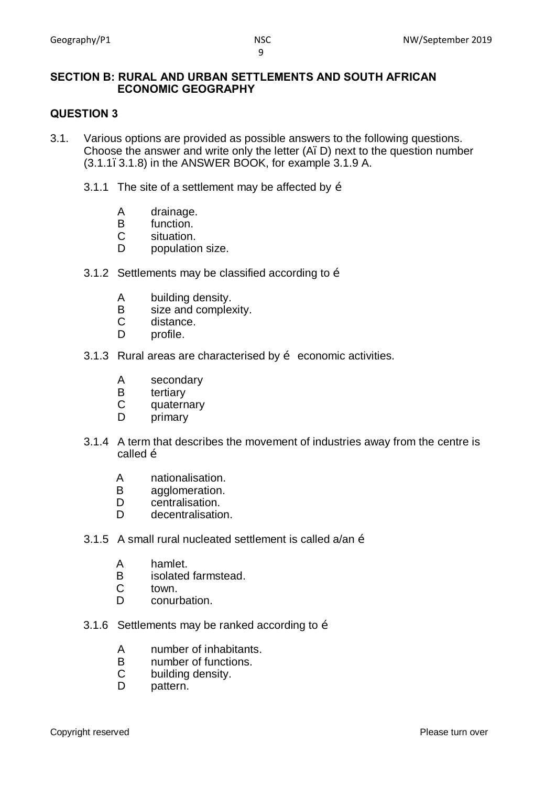#### **SECTION B: RURAL AND URBAN SETTLEMENTS AND SOUTH AFRICAN ECONOMIC GEOGRAPHY**

#### **QUESTION 3**

- 3.1. Various options are provided as possible answers to the following questions. Choose the answer and write only the letter (A, D) next to the question number  $(3.1.1, 3.1.8)$  in the ANSWER BOOK, for example  $3.1.9$  A.
	- 3.1.1 The site of a settlement may be affected by  $\ddot{\text{o}}$ 
		- A drainage.
		- B function.<br>C situation.
		- situation.
		- D population size.
	- 3.1.2 Settlements may be classified according to  $\tilde{o}$ 
		- A building density.
		- B size and complexity.<br>C distance.
		- distance.
		- D profile.
	- 3.1.3 Rural areas are characterised by  $\tilde{o}$  economic activities.
		- A secondary
		- B tertiary<br>C quaterr
		- quaternary
		- D primary
	- 3.1.4 A term that describes the movement of industries away from the centre is called  $\tilde{o}$ 
		- A nationalisation.
		- B agglomeration.
		- D centralisation.
		- D decentralisation.
	- 3.1.5 A small rural nucleated settlement is called  $a$ /an  $\ddot{o}$ 
		- A hamlet.<br>B isolated
		- isolated farmstead.
		- C town.
		- D conurbation.
	- 3.1.6 Settlements may be ranked according to  $\ddot{\text{o}}$ 
		- A number of inhabitants.
		- B number of functions.
		- C building density.
		- D pattern.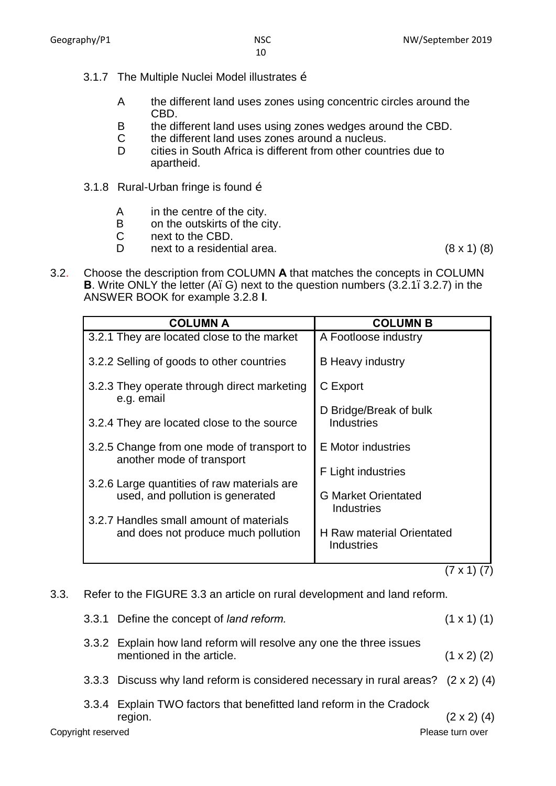- 3.1.7 The Multiple Nuclei Model illustrates  $\ddot{\text{o}}$ 
	- A the different land uses zones using concentric circles around the CBD.
	- B the different land uses using zones wedges around the CBD.
	- C the different land uses zones around a nucleus.
	- D cities in South Africa is different from other countries due to apartheid.
- 3.1.8 Rural-Urban fringe is found  $\ddot{\text{o}}$ 
	- A in the centre of the city.
	- B on the outskirts of the city.
	- C next to the CBD.
	- D next to a residential area. (8 x 1) (8)

3.2. Choose the description from COLUMN **A** that matches the concepts in COLUMN **B**. Write ONLY the letter (A, G) next to the question numbers (3.2.1, 3.2.7) in the ANSWER BOOK for example 3.2.8 **I**.

| <b>COLUMN A</b>                                                         | <b>COLUMN B</b>                                 |
|-------------------------------------------------------------------------|-------------------------------------------------|
| 3.2.1 They are located close to the market                              | A Footloose industry                            |
| 3.2.2 Selling of goods to other countries                               | <b>B</b> Heavy industry                         |
| 3.2.3 They operate through direct marketing<br>e.g. email               | C Export                                        |
|                                                                         | D Bridge/Break of bulk                          |
| 3.2.4 They are located close to the source                              | <b>Industries</b>                               |
| 3.2.5 Change from one mode of transport to<br>another mode of transport | E Motor industries                              |
|                                                                         | F Light industries                              |
| 3.2.6 Large quantities of raw materials are                             |                                                 |
| used, and pollution is generated                                        | <b>G Market Orientated</b><br><b>Industries</b> |
| 3.2.7 Handles small amount of materials                                 |                                                 |
| and does not produce much pollution                                     | <b>H</b> Raw material Orientated<br>Industries  |
|                                                                         |                                                 |

 $(7 \times 1) (7)$ 

3.3. Refer to the FIGURE 3.3 an article on rural development and land reform.

Copyright reserved **Please** turn over 3.3.1 Define the concept of *land reform.* (1 x 1) (1) 3.3.2 Explain how land reform will resolve any one the three issues mentioned in the article.  $(1 \times 2)$  (2) 3.3.3 Discuss why land reform is considered necessary in rural areas? (2 x 2) (4) 3.3.4 Explain TWO factors that benefitted land reform in the Cradock region.  $(2 \times 2)$  (4)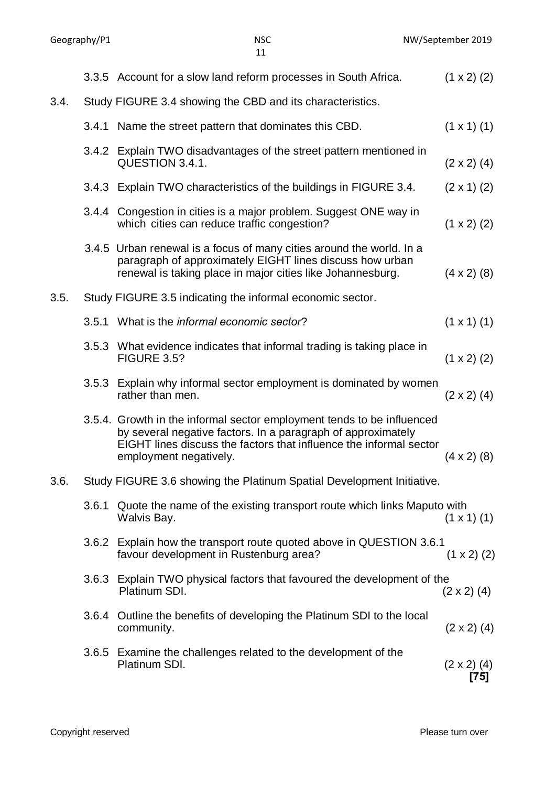|      |       | 3.3.5 Account for a slow land reform processes in South Africa.                                                                                                                                                                        | $(1 \times 2)$ (2) |
|------|-------|----------------------------------------------------------------------------------------------------------------------------------------------------------------------------------------------------------------------------------------|--------------------|
| 3.4. |       | Study FIGURE 3.4 showing the CBD and its characteristics.                                                                                                                                                                              |                    |
|      |       | 3.4.1 Name the street pattern that dominates this CBD.                                                                                                                                                                                 | $(1 \times 1)$ (1) |
|      |       | 3.4.2 Explain TWO disadvantages of the street pattern mentioned in<br>QUESTION 3.4.1.                                                                                                                                                  | $(2 \times 2)$ (4) |
|      |       | 3.4.3 Explain TWO characteristics of the buildings in FIGURE 3.4.                                                                                                                                                                      | $(2 \times 1)$ (2) |
|      |       | 3.4.4 Congestion in cities is a major problem. Suggest ONE way in<br>which cities can reduce traffic congestion?                                                                                                                       | $(1 \times 2)$ (2) |
|      |       | 3.4.5 Urban renewal is a focus of many cities around the world. In a<br>paragraph of approximately EIGHT lines discuss how urban<br>renewal is taking place in major cities like Johannesburg.                                         | $(4 \times 2)$ (8) |
| 3.5. |       | Study FIGURE 3.5 indicating the informal economic sector.                                                                                                                                                                              |                    |
|      |       | 3.5.1 What is the informal economic sector?                                                                                                                                                                                            | $(1 \times 1)$ (1) |
|      |       | 3.5.3 What evidence indicates that informal trading is taking place in<br><b>FIGURE 3.5?</b>                                                                                                                                           | $(1 \times 2)$ (2) |
|      | 3.5.3 | Explain why informal sector employment is dominated by women<br>rather than men.                                                                                                                                                       | $(2 \times 2)$ (4) |
|      |       | 3.5.4. Growth in the informal sector employment tends to be influenced<br>by several negative factors. In a paragraph of approximately<br>EIGHT lines discuss the factors that influence the informal sector<br>employment negatively. | $(4 \times 2)$ (8) |
| 3.6. |       | Study FIGURE 3.6 showing the Platinum Spatial Development Initiative.                                                                                                                                                                  |                    |
|      | 3.6.1 | Quote the name of the existing transport route which links Maputo with<br>Walvis Bay.                                                                                                                                                  | $(1 \times 1)$ (1) |
|      |       | 3.6.2 Explain how the transport route quoted above in QUESTION 3.6.1<br>favour development in Rustenburg area?                                                                                                                         | $(1 \times 2)$ (2) |
|      | 3.6.3 | Explain TWO physical factors that favoured the development of the<br>Platinum SDI.                                                                                                                                                     | $(2 \times 2)$ (4) |
|      |       | 3.6.4 Outline the benefits of developing the Platinum SDI to the local<br>community.                                                                                                                                                   | $(2 \times 2)$ (4) |
|      |       |                                                                                                                                                                                                                                        |                    |

- 3.6.5 Examine the challenges related to the development of the Platinum SDI.  $(2 \times 2)$  (4) **[75]**
	-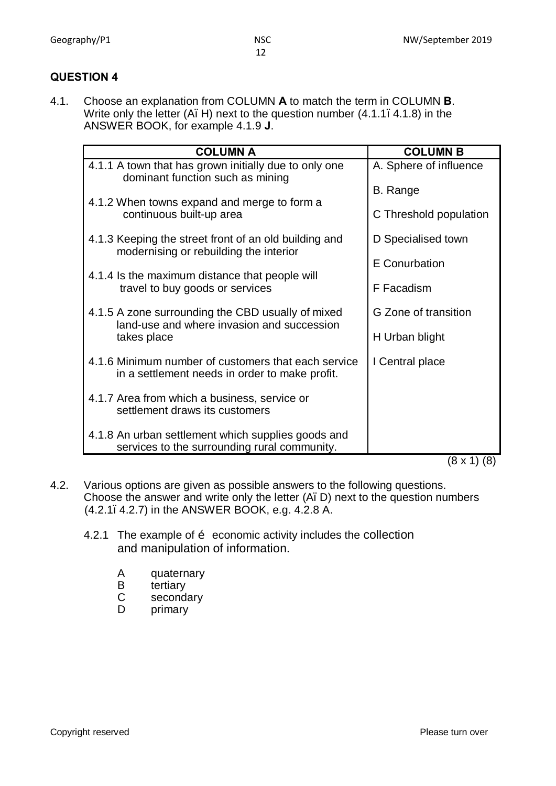#### **QUESTION 4**

4.1. Choose an explanation from COLUMN **A** to match the term in COLUMN **B**. Write only the letter  $(A, H)$  next to the question number  $(4.1.1, 4.1.8)$  in the ANSWER BOOK, for example 4.1.9 **J**.

12

| <b>COLUMN A</b>                                                                                       | <b>COLUMN B</b>        |
|-------------------------------------------------------------------------------------------------------|------------------------|
| 4.1.1 A town that has grown initially due to only one<br>dominant function such as mining             | A. Sphere of influence |
| 4.1.2 When towns expand and merge to form a                                                           | B. Range               |
| continuous built-up area                                                                              | C Threshold population |
| 4.1.3 Keeping the street front of an old building and<br>modernising or rebuilding the interior       | D Specialised town     |
| 4.1.4 Is the maximum distance that people will                                                        | E Conurbation          |
| travel to buy goods or services                                                                       | F Facadism             |
| 4.1.5 A zone surrounding the CBD usually of mixed<br>land-use and where invasion and succession       | G Zone of transition   |
| takes place                                                                                           | H Urban blight         |
| 4.1.6 Minimum number of customers that each service<br>in a settlement needs in order to make profit. | I Central place        |
| 4.1.7 Area from which a business, service or<br>settlement draws its customers                        |                        |
| 4.1.8 An urban settlement which supplies goods and<br>services to the surrounding rural community.    | $\sim$                 |

(8 x 1) (8)

- 4.2. Various options are given as possible answers to the following questions. Choose the answer and write only the letter (A. D) next to the question numbers (4.2.1–4.2.7) in the ANSWER BOOK, e.g. 4.2.8 A.
	- 4.2.1 The example of  $\ddot{o}$  economic activity includes the collection and manipulation of information.
		- A quaternary
		- B tertiary<br>C seconda
		- C secondary<br>D primary
		- primary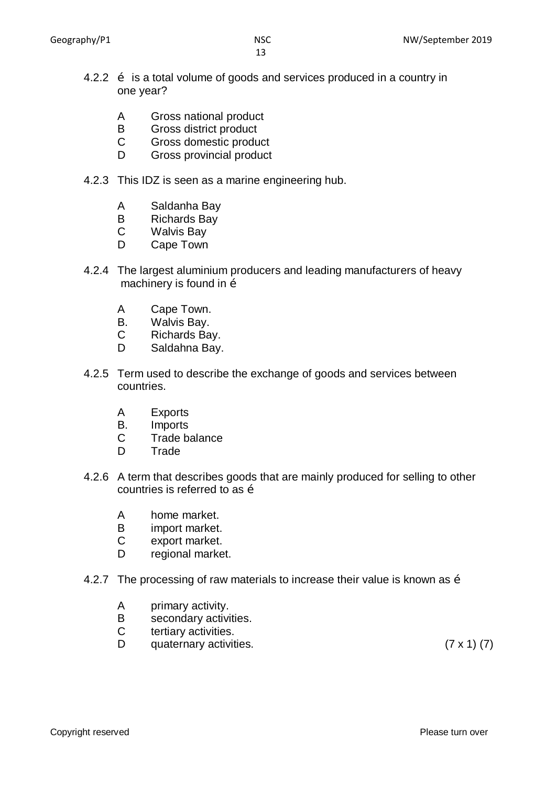- 4.2.2  $\delta$  is a total volume of goods and services produced in a country in one year?
	- A Gross national product
	- B Gross district product<br>C Gross domestic produ
	- Gross domestic product
	- D Gross provincial product
- 4.2.3 This IDZ is seen as a marine engineering hub.
	- A Saldanha Bay
	- B Richards Bay
	- C Walvis Bay
	- D Cape Town
- 4.2.4 The largest aluminium producers and leading manufacturers of heavy machinery is found in  $\ddot{\text{o}}$ 
	- A Cape Town.
	- B. Walvis Bay.
	- C Richards Bay.
	- D Saldahna Bay.
- 4.2.5 Term used to describe the exchange of goods and services between countries.
	- A Exports
	- B. Imports
	- C Trade balance
	- D Trade
- 4.2.6 A term that describes goods that are mainly produced for selling to other countries is referred to as  $\tilde{o}$ 
	- A home market.
	- B import market.
	- C export market.
	- D regional market.
- 4.2.7 The processing of raw materials to increase their value is known as  $\ddot{\text{o}}$ 
	- A primary activity.
	- B secondary activities.
	- C tertiary activities.
	- D quaternary activities. (7 x 1) (7)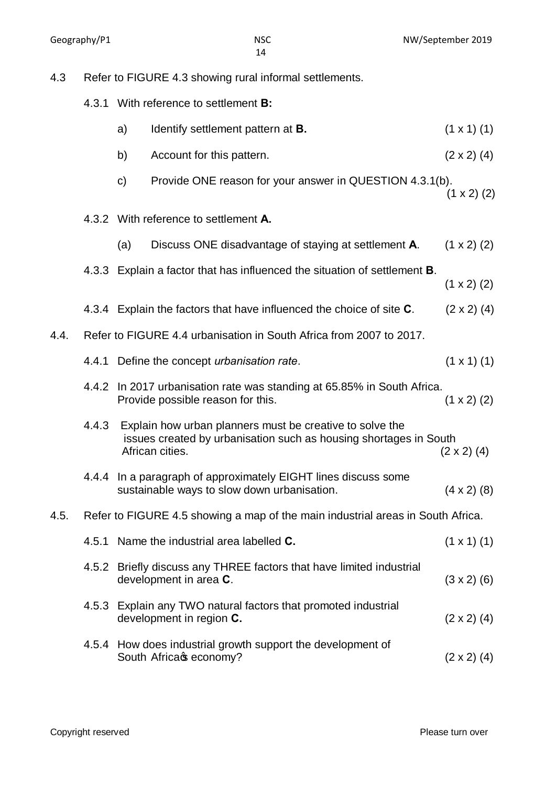$(1 \times 1)$  (1)

 $(2 \times 2)$  (4)

 $(1 \times 2)$  (2)

 $(1 x 2) (2)$ 

 $(1 \times 2)$   $(2)$ 

4.3.4 Explain the factors that have influenced the choice of site **C**. (2 x 2) (4)

 $(1 \times 1)$  (1)

 $(1 x 2) (2)$ 

| 4.3  | Refer to FIGURE 4.3 showing rural informal settlements. |               |                                                                                                                                                  |                      |
|------|---------------------------------------------------------|---------------|--------------------------------------------------------------------------------------------------------------------------------------------------|----------------------|
|      |                                                         |               | 4.3.1 With reference to settlement <b>B:</b>                                                                                                     |                      |
|      |                                                         | a)            | Identify settlement pattern at <b>B</b> .                                                                                                        | $(1 \times 1)$ $(1)$ |
|      |                                                         | b)            | Account for this pattern.                                                                                                                        | $(2 \times 2)$ $(4)$ |
|      |                                                         | $\mathsf{c})$ | Provide ONE reason for your answer in QUESTION 4.3.1(b).                                                                                         | $(1 \times 2)$ (2)   |
|      |                                                         |               | 4.3.2 With reference to settlement A.                                                                                                            |                      |
|      |                                                         | (a)           | Discuss ONE disadvantage of staying at settlement A.                                                                                             | $(1 \times 2)$ $(2)$ |
|      |                                                         |               | 4.3.3 Explain a factor that has influenced the situation of settlement <b>B</b> .                                                                | $(1 \times 2)$ $(2)$ |
|      |                                                         |               | 4.3.4 Explain the factors that have influenced the choice of site C.                                                                             | $(2 \times 2)$ (4)   |
| 4.4. |                                                         |               | Refer to FIGURE 4.4 urbanisation in South Africa from 2007 to 2017.                                                                              |                      |
|      | 4.4.1                                                   |               | Define the concept urbanisation rate.                                                                                                            | $(1 \times 1)$ (1)   |
|      | 4.4.2                                                   |               | In 2017 urbanisation rate was standing at 65.85% in South Africa.<br>Provide possible reason for this.                                           | $(1 \times 2)$ $(2)$ |
|      | 4.4.3                                                   |               | Explain how urban planners must be creative to solve the<br>issues created by urbanisation such as housing shortages in South<br>African cities. | $(2 \times 2)$ (4)   |

4.4.4 In a paragraph of approximately EIGHT lines discuss some sustainable ways to slow down urbanisation. (4 x 2) (8)

#### 4.5. Refer to FIGURE 4.5 showing a map of the main industrial areas in South Africa.

| 4.5.1 Name the industrial area labelled <b>C</b> .                                             | $(1 \times 1)$ (1) |
|------------------------------------------------------------------------------------------------|--------------------|
| 4.5.2 Briefly discuss any THREE factors that have limited industrial<br>development in area C. | $(3 \times 2)$ (6) |
| 4.5.3 Explain any TWO natural factors that promoted industrial<br>development in region C.     | $(2 \times 2)$ (4) |
| 4.5.4 How does industrial growth support the development of<br>South Africacs economy?         | $(2 \times 2)$ (4) |